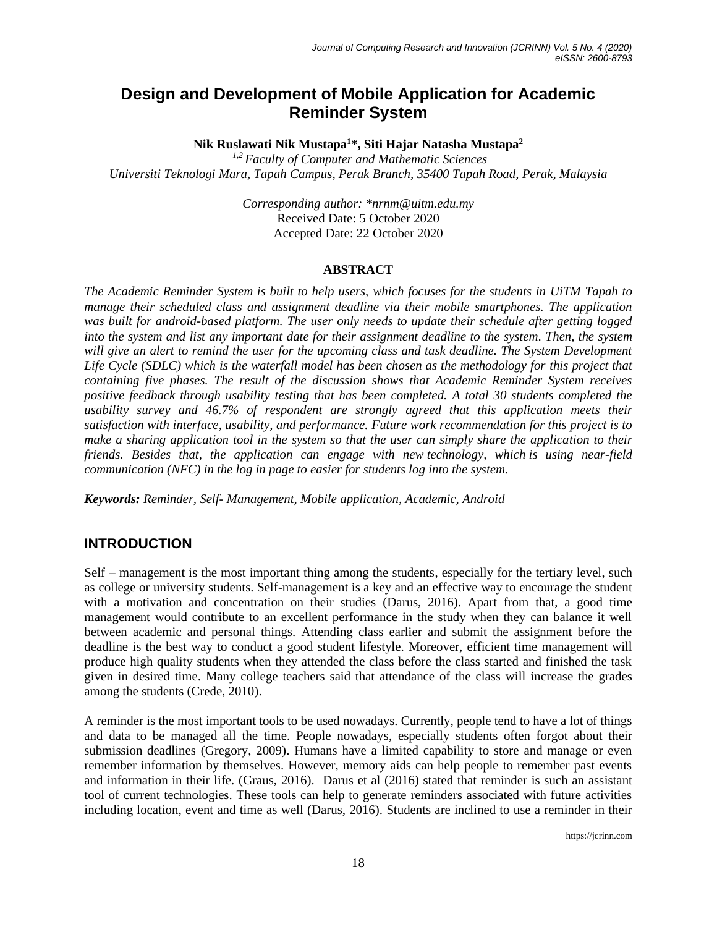# **Design and Development of Mobile Application for Academic Reminder System**

**Nik Ruslawati Nik Mustapa<sup>1</sup>\*, Siti Hajar Natasha Mustapa<sup>2</sup>**

*1,2 Faculty of Computer and Mathematic Sciences Universiti Teknologi Mara, Tapah Campus, Perak Branch, 35400 Tapah Road, Perak, Malaysia*

> *Corresponding author: \*nrnm@uitm.edu.my* Received Date: 5 October 2020 Accepted Date: 22 October 2020

#### **ABSTRACT**

*The Academic Reminder System is built to help users, which focuses for the students in UiTM Tapah to manage their scheduled class and assignment deadline via their mobile smartphones. The application was built for android-based platform. The user only needs to update their schedule after getting logged into the system and list any important date for their assignment deadline to the system. Then, the system*  will give an alert to remind the user for the upcoming class and task deadline. The System Development *Life Cycle (SDLC) which is the waterfall model has been chosen as the methodology for this project that containing five phases. The result of the discussion shows that Academic Reminder System receives positive feedback through usability testing that has been completed. A total 30 students completed the usability survey and 46.7% of respondent are strongly agreed that this application meets their satisfaction with interface, usability, and performance. Future work recommendation for this project is to make a sharing application tool in the system so that the user can simply share the application to their friends. Besides that, the application can engage with new technology, which is using near-field communication (NFC) in the log in page to easier for students log into the system.*

*Keywords: Reminder, Self- Management, Mobile application, Academic, Android*

# **INTRODUCTION**

Self – management is the most important thing among the students, especially for the tertiary level, such as college or university students. Self-management is a key and an effective way to encourage the student with a motivation and concentration on their studies (Darus, 2016). Apart from that, a good time management would contribute to an excellent performance in the study when they can balance it well between academic and personal things. Attending class earlier and submit the assignment before the deadline is the best way to conduct a good student lifestyle. Moreover, efficient time management will produce high quality students when they attended the class before the class started and finished the task given in desired time. Many college teachers said that attendance of the class will increase the grades among the students (Crede, 2010).

A reminder is the most important tools to be used nowadays. Currently, people tend to have a lot of things and data to be managed all the time. People nowadays, especially students often forgot about their submission deadlines (Gregory, 2009). Humans have a limited capability to store and manage or even remember information by themselves. However, memory aids can help people to remember past events and information in their life. (Graus, 2016). Darus et al (2016) stated that reminder is such an assistant tool of current technologies. These tools can help to generate reminders associated with future activities including location, event and time as well (Darus, 2016). Students are inclined to use a reminder in their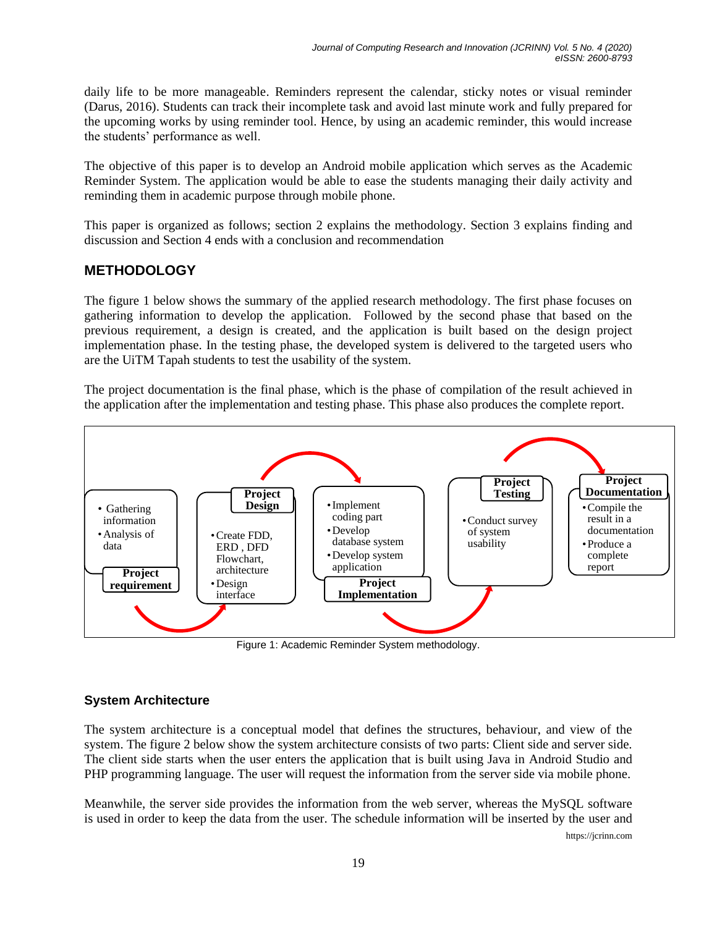daily life to be more manageable. Reminders represent the calendar, sticky notes or visual reminder (Darus, 2016). Students can track their incomplete task and avoid last minute work and fully prepared for the upcoming works by using reminder tool. Hence, by using an academic reminder, this would increase the students' performance as well.

The objective of this paper is to develop an Android mobile application which serves as the Academic Reminder System. The application would be able to ease the students managing their daily activity and reminding them in academic purpose through mobile phone.

This paper is organized as follows; section 2 explains the methodology. Section 3 explains finding and discussion and Section 4 ends with a conclusion and recommendation

# **METHODOLOGY**

The figure 1 below shows the summary of the applied research methodology. The first phase focuses on gathering information to develop the application. Followed by the second phase that based on the previous requirement, a design is created, and the application is built based on the design project implementation phase. In the testing phase, the developed system is delivered to the targeted users who are the UiTM Tapah students to test the usability of the system.

The project documentation is the final phase, which is the phase of compilation of the result achieved in the application after the implementation and testing phase. This phase also produces the complete report.



Figure 1: Academic Reminder System methodology.

# **System Architecture**

The system architecture is a conceptual model that defines the structures, behaviour, and view of the system. The figure 2 below show the system architecture consists of two parts: Client side and server side. The client side starts when the user enters the application that is built using Java in Android Studio and PHP programming language. The user will request the information from the server side via mobile phone.

https://jcrinn.com Meanwhile, the server side provides the information from the web server, whereas the MySQL software is used in order to keep the data from the user. The schedule information will be inserted by the user and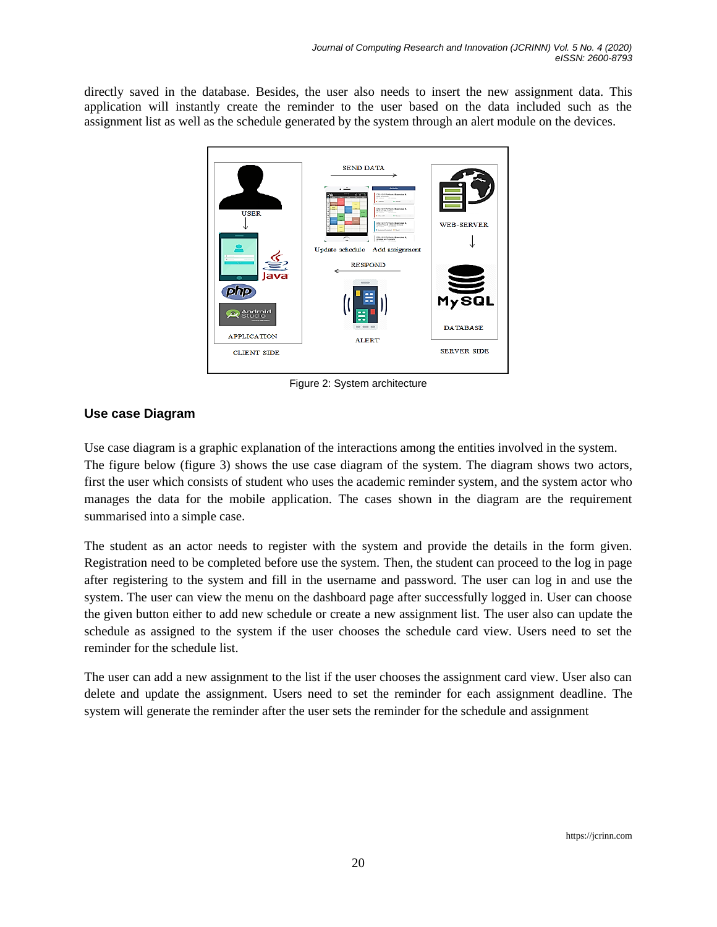directly saved in the database. Besides, the user also needs to insert the new assignment data. This application will instantly create the reminder to the user based on the data included such as the assignment list as well as the schedule generated by the system through an alert module on the devices.



Figure 2: System architecture

# **Use case Diagram**

Use case diagram is a graphic explanation of the interactions among the entities involved in the system. The figure below (figure 3) shows the use case diagram of the system. The diagram shows two actors, first the user which consists of student who uses the academic reminder system, and the system actor who manages the data for the mobile application. The cases shown in the diagram are the requirement summarised into a simple case.

The student as an actor needs to register with the system and provide the details in the form given. Registration need to be completed before use the system. Then, the student can proceed to the log in page after registering to the system and fill in the username and password. The user can log in and use the system. The user can view the menu on the dashboard page after successfully logged in. User can choose the given button either to add new schedule or create a new assignment list. The user also can update the schedule as assigned to the system if the user chooses the schedule card view. Users need to set the reminder for the schedule list.

The user can add a new assignment to the list if the user chooses the assignment card view. User also can delete and update the assignment. Users need to set the reminder for each assignment deadline. The system will generate the reminder after the user sets the reminder for the schedule and assignment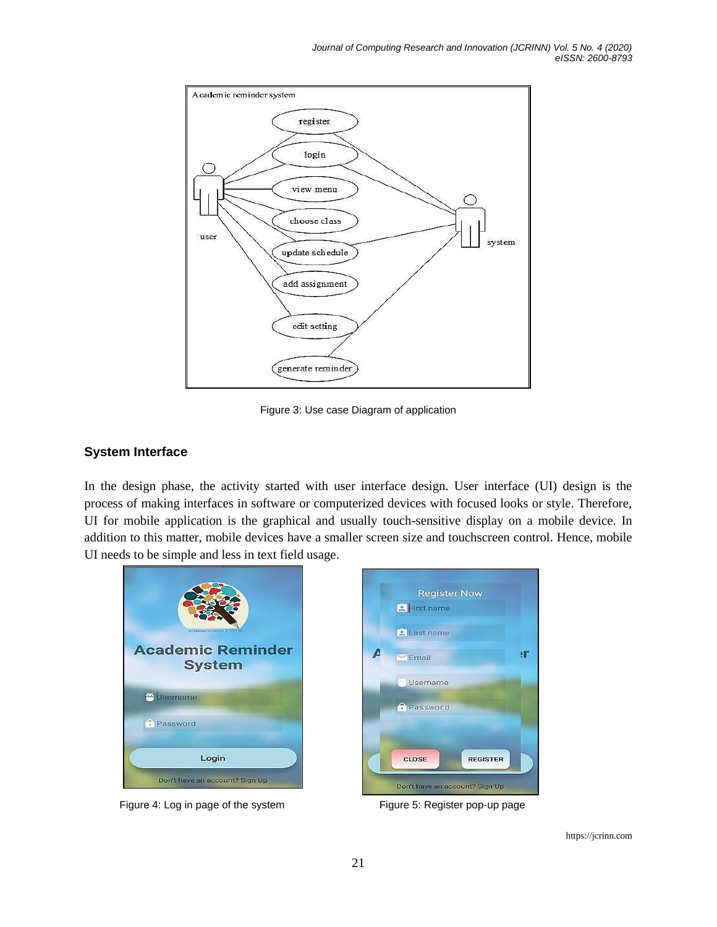

Figure 3: Use case Diagram of application

#### **System Interface**

In the design phase, the activity started with user interface design. User interface (UI) design is the process of making interfaces in software or computerized devices with focused looks or style. Therefore, UI for mobile application is the graphical and usually touch-sensitive display on a mobile device. In addition to this matter, mobile devices have a smaller screen size and touchscreen control. Hence, mobile UI needs to be simple and less in text field usage.



Figure 4: Log in page of the system Figure 5: Register pop-up page



https://jcrinn.com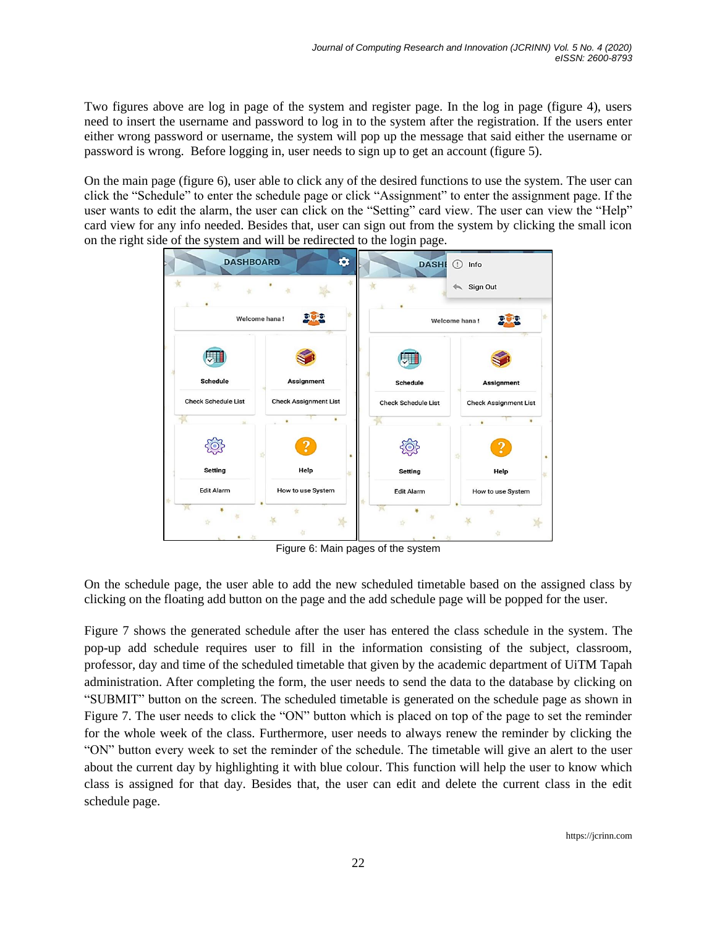Two figures above are log in page of the system and register page. In the log in page (figure 4), users need to insert the username and password to log in to the system after the registration. If the users enter either wrong password or username, the system will pop up the message that said either the username or password is wrong. Before logging in, user needs to sign up to get an account (figure 5).

On the main page (figure 6), user able to click any of the desired functions to use the system. The user can click the "Schedule" to enter the schedule page or click "Assignment" to enter the assignment page. If the user wants to edit the alarm, the user can click on the "Setting" card view. The user can view the "Help" card view for any info needed. Besides that, user can sign out from the system by clicking the small icon on the right side of the system and will be redirected to the login page.



Figure 6: Main pages of the system

On the schedule page, the user able to add the new scheduled timetable based on the assigned class by clicking on the floating add button on the page and the add schedule page will be popped for the user.

Figure 7 shows the generated schedule after the user has entered the class schedule in the system. The pop-up add schedule requires user to fill in the information consisting of the subject, classroom, professor, day and time of the scheduled timetable that given by the academic department of UiTM Tapah administration. After completing the form, the user needs to send the data to the database by clicking on "SUBMIT" button on the screen. The scheduled timetable is generated on the schedule page as shown in Figure 7. The user needs to click the "ON" button which is placed on top of the page to set the reminder for the whole week of the class. Furthermore, user needs to always renew the reminder by clicking the "ON" button every week to set the reminder of the schedule. The timetable will give an alert to the user about the current day by highlighting it with blue colour. This function will help the user to know which class is assigned for that day. Besides that, the user can edit and delete the current class in the edit schedule page.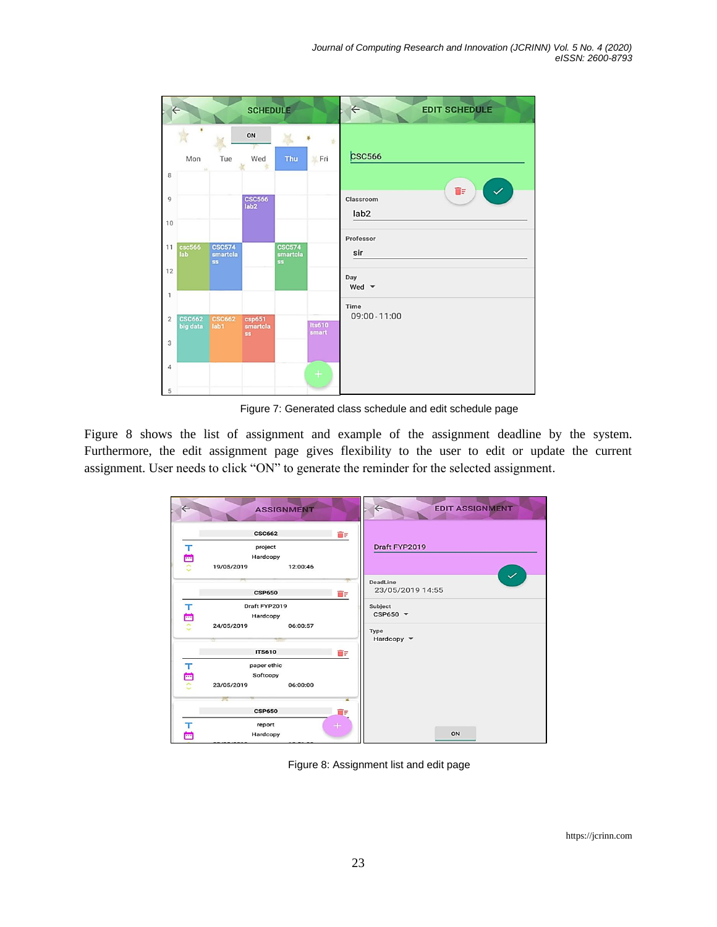|                | $\Leftarrow$<br><b>SCHEDULE</b> |                                        |                                 |                                        |                        | $\leftarrow$<br><b>EDIT SCHEDULE</b> |
|----------------|---------------------------------|----------------------------------------|---------------------------------|----------------------------------------|------------------------|--------------------------------------|
|                | Mon                             | Tue                                    | ON<br>Wed<br>×                  | A.<br>Thu                              | 责<br>$\frac{1}{2}$ Fri | <b>csc566</b>                        |
| 8              |                                 |                                        |                                 |                                        |                        | îΞ                                   |
| $\overline{9}$ |                                 |                                        | <b>CSC566</b><br>lab2           |                                        |                        | Classroom<br>lab <sub>2</sub>        |
| 10             |                                 |                                        |                                 |                                        |                        | Professor                            |
| 11             | csc566<br>lab                   | <b>CSC574</b><br>smartcla<br><b>SS</b> |                                 | <b>CSC574</b><br>smartcla<br><b>ss</b> |                        | sir                                  |
| 12             |                                 |                                        |                                 |                                        |                        | Day<br>Wed $\blacktriangledown$      |
| 1              |                                 |                                        |                                 |                                        |                        | Time                                 |
| $\overline{2}$ | <b>CSC662</b><br>big data       | <b>CSC662</b><br>lab1                  | csp651<br>smartcla<br><b>SS</b> |                                        | <b>Its610</b><br>smart | 09:00 - 11:00                        |
| 3              |                                 |                                        |                                 |                                        |                        |                                      |
| $\overline{4}$ |                                 |                                        |                                 |                                        | $+$                    |                                      |
| 5              |                                 |                                        |                                 |                                        |                        |                                      |

Figure 7: Generated class schedule and edit schedule page

Figure 8 shows the list of assignment and example of the assignment deadline by the system. Furthermore, the edit assignment page gives flexibility to the user to edit or update the current assignment. User needs to click "ON" to generate the reminder for the selected assignment.

|        | <b>ASSIGNMENT</b>                                  |                | $\Leftarrow$<br><b>EDIT ASSIGNMENT</b>       |
|--------|----------------------------------------------------|----------------|----------------------------------------------|
| 工自立    | <b>CSC662</b><br>project<br>Hardcopy<br>19/05/2019 | ÔF<br>12:00:46 | Draft FYP2019                                |
|        | <b>CSP650</b>                                      | ŌF             | $\checkmark$<br>DeadLine<br>23/05/2019 14:55 |
| 工目     | Draft FYP2019<br>Hardcopy                          |                | Subject<br>$CSP650$ $\blacktriangledown$     |
|        | 24/05/2019                                         | 06:00:57       | Type<br>Hardcopy $\blacktriangledown$        |
|        | <b>ITS610</b>                                      | ÔF             |                                              |
| 工自     | paper ethic<br>Softcopy                            |                |                                              |
|        | 23/05/2019                                         | 06:00:00       |                                              |
|        |                                                    |                |                                              |
|        | <b>CSP650</b>                                      | îΓ             |                                              |
| т<br>ö | report<br>Hardcopy                                 | $+$            | ON                                           |

Figure 8: Assignment list and edit page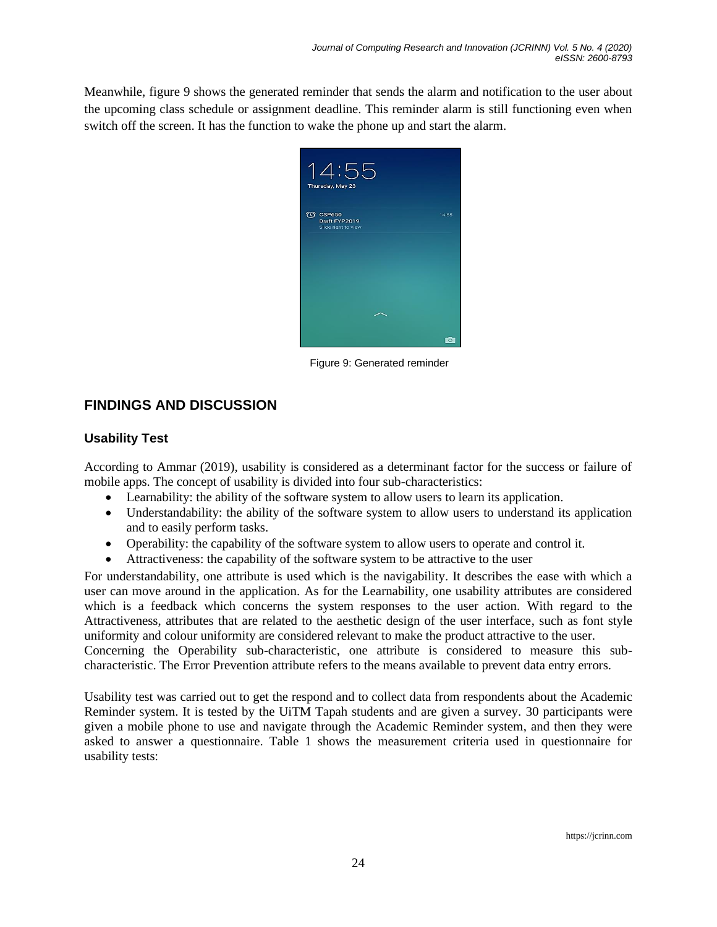Meanwhile, figure 9 shows the generated reminder that sends the alarm and notification to the user about the upcoming class schedule or assignment deadline. This reminder alarm is still functioning even when switch off the screen. It has the function to wake the phone up and start the alarm.



Figure 9: Generated reminder

# **FINDINGS AND DISCUSSION**

### **Usability Test**

According to Ammar (2019), usability is considered as a determinant factor for the success or failure of mobile apps. The concept of usability is divided into four sub-characteristics:

- Learnability: the ability of the software system to allow users to learn its application.
- Understandability: the ability of the software system to allow users to understand its application and to easily perform tasks.
- Operability: the capability of the software system to allow users to operate and control it.
- Attractiveness: the capability of the software system to be attractive to the user

For understandability, one attribute is used which is the navigability. It describes the ease with which a user can move around in the application. As for the Learnability, one usability attributes are considered which is a feedback which concerns the system responses to the user action. With regard to the Attractiveness, attributes that are related to the aesthetic design of the user interface, such as font style uniformity and colour uniformity are considered relevant to make the product attractive to the user. Concerning the Operability sub-characteristic, one attribute is considered to measure this sub-

characteristic. The Error Prevention attribute refers to the means available to prevent data entry errors.

Usability test was carried out to get the respond and to collect data from respondents about the Academic Reminder system. It is tested by the UiTM Tapah students and are given a survey. 30 participants were given a mobile phone to use and navigate through the Academic Reminder system, and then they were asked to answer a questionnaire. Table 1 shows the measurement criteria used in questionnaire for usability tests: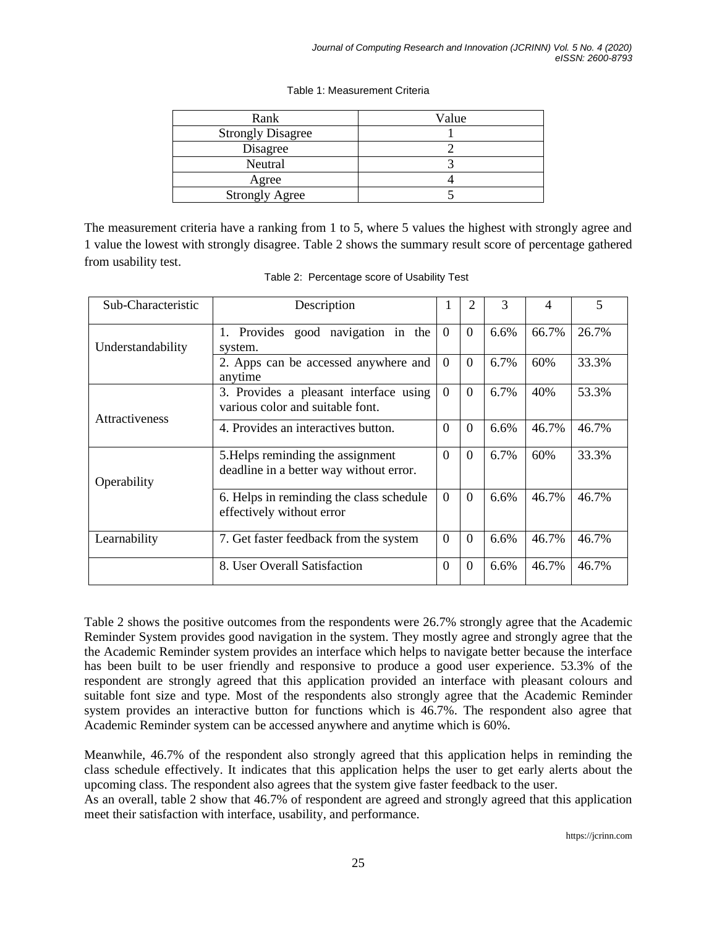| Rank                     | Value |
|--------------------------|-------|
| <b>Strongly Disagree</b> |       |
| Disagree                 |       |
| Neutral                  |       |
| Agree                    |       |
| <b>Strongly Agree</b>    |       |

#### Table 1: Measurement Criteria

The measurement criteria have a ranking from 1 to 5, where 5 values the highest with strongly agree and 1 value the lowest with strongly disagree. Table 2 shows the summary result score of percentage gathered from usability test.

| Sub-Characteristic    | Description                                                                  |                | 2        | 3    | 4     | 5     |
|-----------------------|------------------------------------------------------------------------------|----------------|----------|------|-------|-------|
| Understandability     | Provides good navigation in the<br>1.<br>system.                             | $\overline{0}$ | $\Omega$ | 6.6% | 66.7% | 26.7% |
|                       | 2. Apps can be accessed anywhere and<br>anytime                              | $\overline{0}$ | $\Omega$ | 6.7% | 60%   | 33.3% |
| <b>Attractiveness</b> | 3. Provides a pleasant interface using<br>various color and suitable font.   | $\Omega$       | $\Omega$ | 6.7% | 40%   | 53.3% |
|                       | 4. Provides an interactives button.                                          | $\Omega$       | $\Omega$ | 6.6% | 46.7% | 46.7% |
| Operability           | 5. Helps reminding the assignment<br>deadline in a better way without error. | $\Omega$       | $\Omega$ | 6.7% | 60%   | 33.3% |
|                       | 6. Helps in reminding the class schedule<br>effectively without error        | $\Omega$       | $\Omega$ | 6.6% | 46.7% | 46.7% |
| Learnability          | 7. Get faster feedback from the system                                       | $\Omega$       | $\Omega$ | 6.6% | 46.7% | 46.7% |
|                       | 8. User Overall Satisfaction                                                 | $\Omega$       | $\Omega$ | 6.6% | 46.7% | 46.7% |

Table 2: Percentage score of Usability Test

Table 2 shows the positive outcomes from the respondents were 26.7% strongly agree that the Academic Reminder System provides good navigation in the system. They mostly agree and strongly agree that the the Academic Reminder system provides an interface which helps to navigate better because the interface has been built to be user friendly and responsive to produce a good user experience. 53.3% of the respondent are strongly agreed that this application provided an interface with pleasant colours and suitable font size and type. Most of the respondents also strongly agree that the Academic Reminder system provides an interactive button for functions which is 46.7%. The respondent also agree that Academic Reminder system can be accessed anywhere and anytime which is 60%.

Meanwhile, 46.7% of the respondent also strongly agreed that this application helps in reminding the class schedule effectively. It indicates that this application helps the user to get early alerts about the upcoming class. The respondent also agrees that the system give faster feedback to the user.

As an overall, table 2 show that 46.7% of respondent are agreed and strongly agreed that this application meet their satisfaction with interface, usability, and performance.